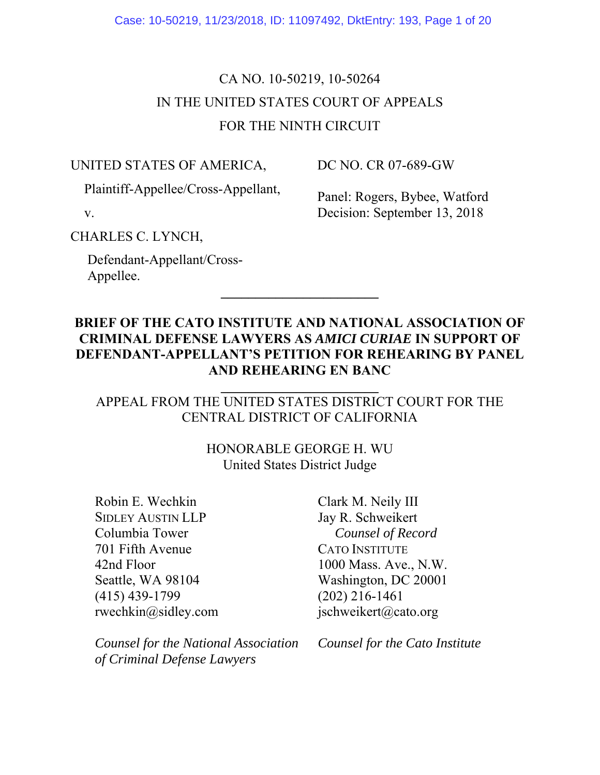# CA NO. 10-50219, 10-50264 IN THE UNITED STATES COURT OF APPEALS FOR THE NINTH CIRCUIT

UNITED STATES OF AMERICA,

DC NO. CR 07-689-GW

Plaintiff-Appellee/Cross-Appellant,

v.

Panel: Rogers, Bybee, Watford Decision: September 13, 2018

CHARLES C. LYNCH,

Defendant-Appellant/Cross-Appellee.

## **BRIEF OF THE CATO INSTITUTE AND NATIONAL ASSOCIATION OF CRIMINAL DEFENSE LAWYERS AS** *AMICI CURIAE* **IN SUPPORT OF DEFENDANT-APPELLANT'S PETITION FOR REHEARING BY PANEL AND REHEARING EN BANC**

**\_\_\_\_\_\_\_\_\_\_\_\_\_\_\_\_\_\_\_\_\_\_\_** 

## **\_\_\_\_\_\_\_\_\_\_\_\_\_\_\_\_\_\_\_\_\_\_\_**  APPEAL FROM THE UNITED STATES DISTRICT COURT FOR THE CENTRAL DISTRICT OF CALIFORNIA

HONORABLE GEORGE H. WU United States District Judge

Robin E. Wechkin SIDLEY AUSTIN LLP Columbia Tower 701 Fifth Avenue 42nd Floor Seattle, WA 98104 (415) 439-1799 rwechkin@sidley.com

*Counsel for the National Association of Criminal Defense Lawyers*

Clark M. Neily III Jay R. Schweikert  *Counsel of Record*  CATO INSTITUTE 1000 Mass. Ave., N.W. Washington, DC 20001 (202) 216-1461 jschweikert@cato.org

*Counsel for the Cato Institute*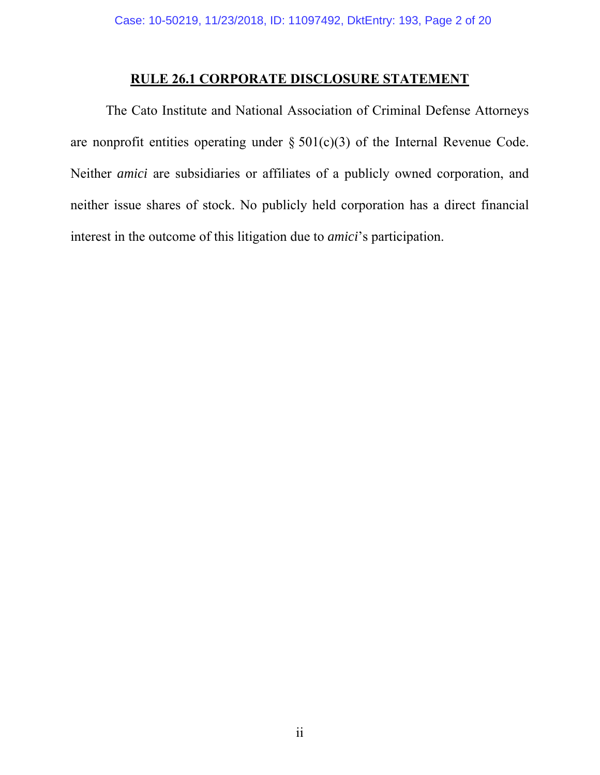## **RULE 26.1 CORPORATE DISCLOSURE STATEMENT**

 The Cato Institute and National Association of Criminal Defense Attorneys are nonprofit entities operating under  $\S 501(c)(3)$  of the Internal Revenue Code. Neither *amici* are subsidiaries or affiliates of a publicly owned corporation, and neither issue shares of stock. No publicly held corporation has a direct financial interest in the outcome of this litigation due to *amici*'s participation.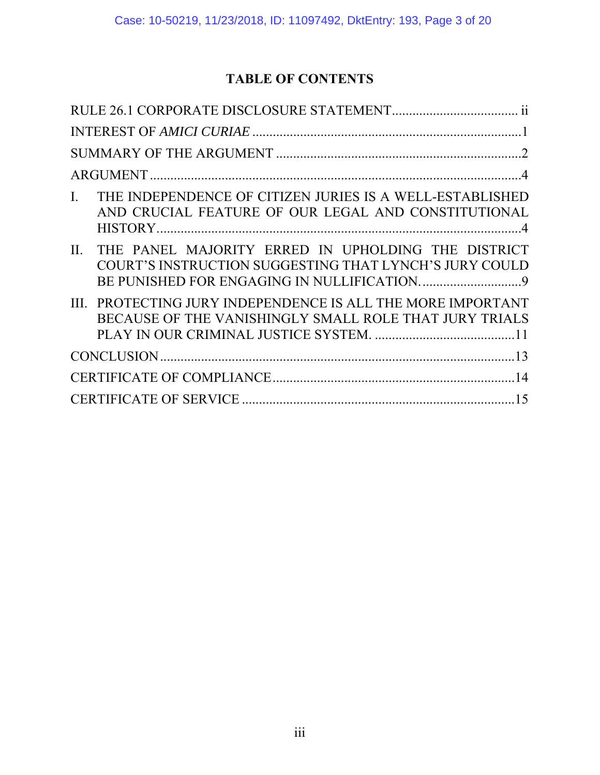# **TABLE OF CONTENTS**

| THE INDEPENDENCE OF CITIZEN JURIES IS A WELL-ESTABLISHED<br>$\mathbf{I}$ .<br>AND CRUCIAL FEATURE OF OUR LEGAL AND CONSTITUTIONAL |  |
|-----------------------------------------------------------------------------------------------------------------------------------|--|
| THE PANEL MAJORITY ERRED IN UPHOLDING THE DISTRICT<br>$\Pi$ .<br>COURT'S INSTRUCTION SUGGESTING THAT LYNCH'S JURY COULD           |  |
| III. PROTECTING JURY INDEPENDENCE IS ALL THE MORE IMPORTANT<br>BECAUSE OF THE VANISHINGLY SMALL ROLE THAT JURY TRIALS             |  |
|                                                                                                                                   |  |
|                                                                                                                                   |  |
|                                                                                                                                   |  |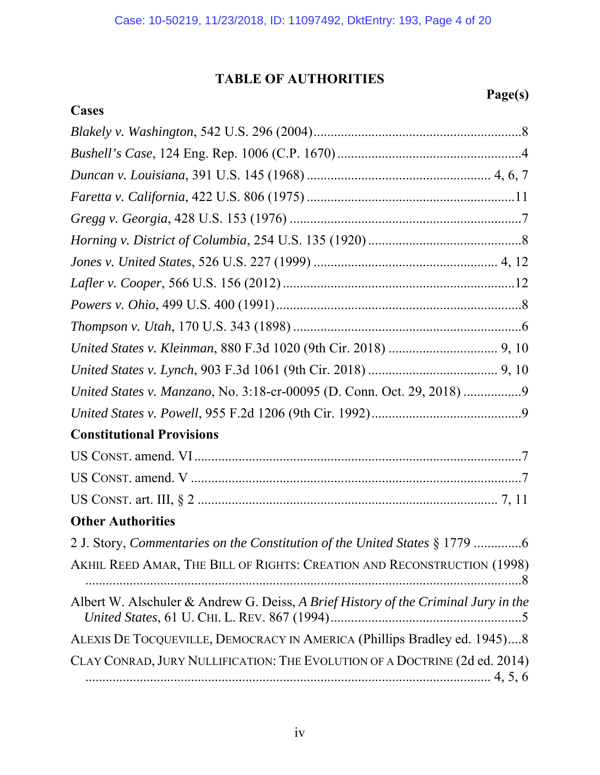## **TABLE OF AUTHORITIES**

## **Cases**

| United States v. Manzano, No. 3:18-cr-00095 (D. Conn. Oct. 29, 2018) 9             |
|------------------------------------------------------------------------------------|
|                                                                                    |
| <b>Constitutional Provisions</b>                                                   |
|                                                                                    |
|                                                                                    |
|                                                                                    |
| <b>Other Authorities</b>                                                           |
| 2 J. Story, Commentaries on the Constitution of the United States § 1779           |
| AKHIL REED AMAR, THE BILL OF RIGHTS: CREATION AND RECONSTRUCTION (1998)            |
| Albert W. Alschuler & Andrew G. Deiss, A Brief History of the Criminal Jury in the |
| ALEXIS DE TOCQUEVILLE, DEMOCRACY IN AMERICA (Phillips Bradley ed. 1945)8           |
| CLAY CONRAD, JURY NULLIFICATION: THE EVOLUTION OF A DOCTRINE (2d ed. 2014)         |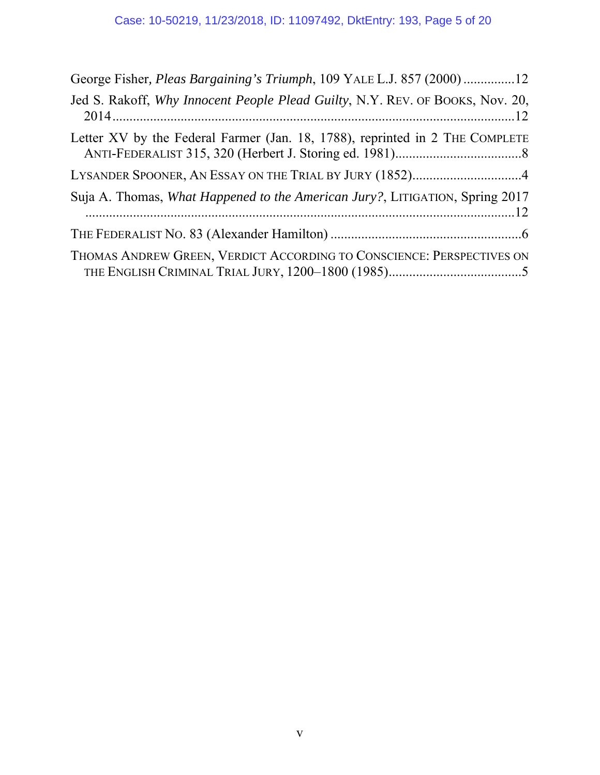| George Fisher, <i>Pleas Bargaining's Triumph</i> , 109 YALE L.J. 857 (2000)12 |
|-------------------------------------------------------------------------------|
| Jed S. Rakoff, Why Innocent People Plead Guilty, N.Y. REV. OF BOOKS, Nov. 20, |
| Letter XV by the Federal Farmer (Jan. 18, 1788), reprinted in 2 THE COMPLETE  |
| LYSANDER SPOONER, AN ESSAY ON THE TRIAL BY JURY (1852)4                       |
| Suja A. Thomas, What Happened to the American Jury?, LITIGATION, Spring 2017  |
|                                                                               |
| THOMAS ANDREW GREEN, VERDICT ACCORDING TO CONSCIENCE: PERSPECTIVES ON         |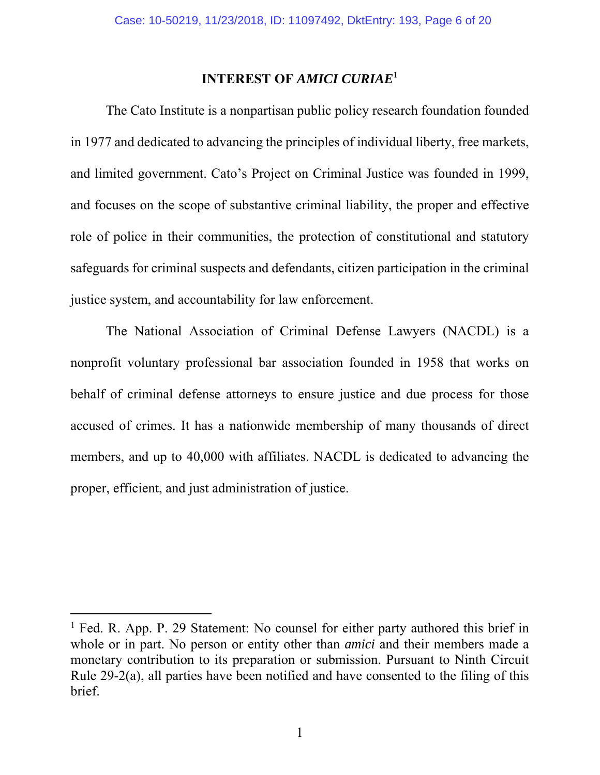## **INTEREST OF** *AMICI CURIAE***<sup>1</sup>**

The Cato Institute is a nonpartisan public policy research foundation founded in 1977 and dedicated to advancing the principles of individual liberty, free markets, and limited government. Cato's Project on Criminal Justice was founded in 1999, and focuses on the scope of substantive criminal liability, the proper and effective role of police in their communities, the protection of constitutional and statutory safeguards for criminal suspects and defendants, citizen participation in the criminal justice system, and accountability for law enforcement.

The National Association of Criminal Defense Lawyers (NACDL) is a nonprofit voluntary professional bar association founded in 1958 that works on behalf of criminal defense attorneys to ensure justice and due process for those accused of crimes. It has a nationwide membership of many thousands of direct members, and up to 40,000 with affiliates. NACDL is dedicated to advancing the proper, efficient, and just administration of justice.

-

<sup>&</sup>lt;sup>1</sup> Fed. R. App. P. 29 Statement: No counsel for either party authored this brief in whole or in part. No person or entity other than *amici* and their members made a monetary contribution to its preparation or submission. Pursuant to Ninth Circuit Rule 29-2(a), all parties have been notified and have consented to the filing of this brief.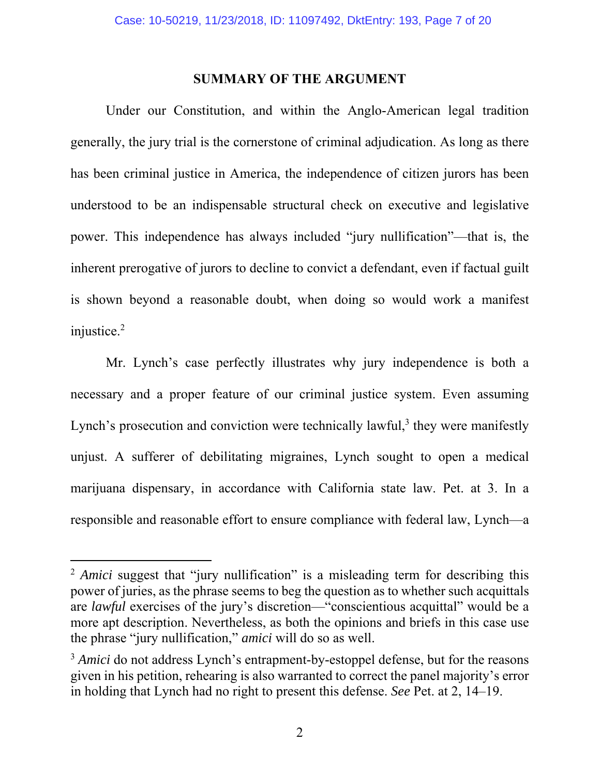### **SUMMARY OF THE ARGUMENT**

Under our Constitution, and within the Anglo-American legal tradition generally, the jury trial is the cornerstone of criminal adjudication. As long as there has been criminal justice in America, the independence of citizen jurors has been understood to be an indispensable structural check on executive and legislative power. This independence has always included "jury nullification"—that is, the inherent prerogative of jurors to decline to convict a defendant, even if factual guilt is shown beyond a reasonable doubt, when doing so would work a manifest injustice.2

Mr. Lynch's case perfectly illustrates why jury independence is both a necessary and a proper feature of our criminal justice system. Even assuming Lynch's prosecution and conviction were technically lawful, $3$  they were manifestly unjust. A sufferer of debilitating migraines, Lynch sought to open a medical marijuana dispensary, in accordance with California state law. Pet. at 3. In a responsible and reasonable effort to ensure compliance with federal law, Lynch—a

 $\overline{a}$ 

<sup>&</sup>lt;sup>2</sup> *Amici* suggest that "jury nullification" is a misleading term for describing this power of juries, as the phrase seems to beg the question as to whether such acquittals are *lawful* exercises of the jury's discretion—"conscientious acquittal" would be a more apt description. Nevertheless, as both the opinions and briefs in this case use the phrase "jury nullification," *amici* will do so as well.

<sup>&</sup>lt;sup>3</sup> *Amici* do not address Lynch's entrapment-by-estoppel defense, but for the reasons given in his petition, rehearing is also warranted to correct the panel majority's error in holding that Lynch had no right to present this defense. *See* Pet. at 2, 14–19.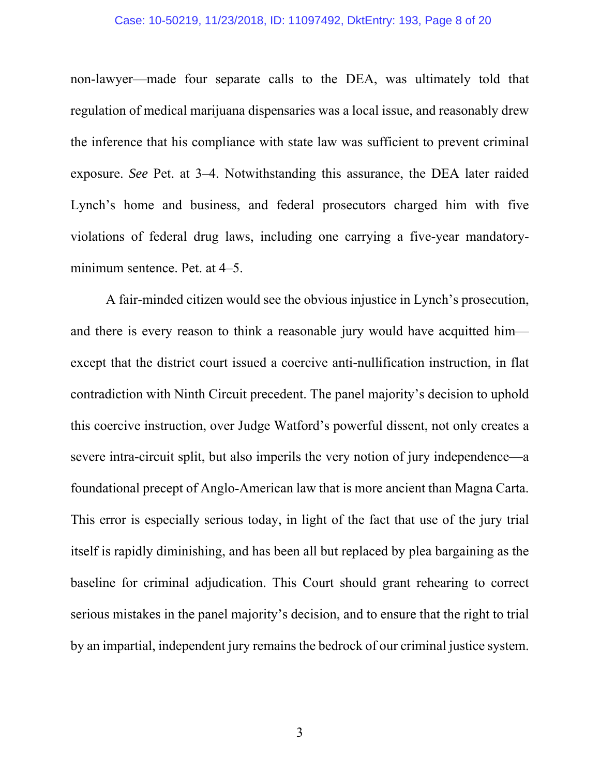#### Case: 10-50219, 11/23/2018, ID: 11097492, DktEntry: 193, Page 8 of 20

non-lawyer—made four separate calls to the DEA, was ultimately told that regulation of medical marijuana dispensaries was a local issue, and reasonably drew the inference that his compliance with state law was sufficient to prevent criminal exposure. *See* Pet. at 3–4. Notwithstanding this assurance, the DEA later raided Lynch's home and business, and federal prosecutors charged him with five violations of federal drug laws, including one carrying a five-year mandatoryminimum sentence. Pet. at 4–5.

A fair-minded citizen would see the obvious injustice in Lynch's prosecution, and there is every reason to think a reasonable jury would have acquitted him except that the district court issued a coercive anti-nullification instruction, in flat contradiction with Ninth Circuit precedent. The panel majority's decision to uphold this coercive instruction, over Judge Watford's powerful dissent, not only creates a severe intra-circuit split, but also imperils the very notion of jury independence—a foundational precept of Anglo-American law that is more ancient than Magna Carta. This error is especially serious today, in light of the fact that use of the jury trial itself is rapidly diminishing, and has been all but replaced by plea bargaining as the baseline for criminal adjudication. This Court should grant rehearing to correct serious mistakes in the panel majority's decision, and to ensure that the right to trial by an impartial, independent jury remains the bedrock of our criminal justice system.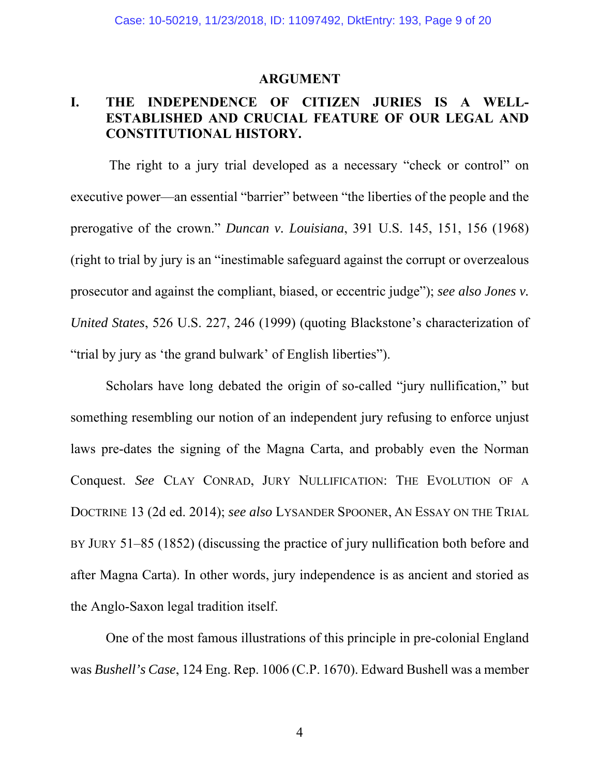#### **ARGUMENT**

## **I. THE INDEPENDENCE OF CITIZEN JURIES IS A WELL-ESTABLISHED AND CRUCIAL FEATURE OF OUR LEGAL AND CONSTITUTIONAL HISTORY.**

 The right to a jury trial developed as a necessary "check or control" on executive power—an essential "barrier" between "the liberties of the people and the prerogative of the crown." *Duncan v. Louisiana*, 391 U.S. 145, 151, 156 (1968) (right to trial by jury is an "inestimable safeguard against the corrupt or overzealous prosecutor and against the compliant, biased, or eccentric judge"); *see also Jones v. United States*, 526 U.S. 227, 246 (1999) (quoting Blackstone's characterization of "trial by jury as 'the grand bulwark' of English liberties").

Scholars have long debated the origin of so-called "jury nullification," but something resembling our notion of an independent jury refusing to enforce unjust laws pre-dates the signing of the Magna Carta, and probably even the Norman Conquest. *See* CLAY CONRAD, JURY NULLIFICATION: THE EVOLUTION OF A DOCTRINE 13 (2d ed. 2014); *see also* LYSANDER SPOONER, AN ESSAY ON THE TRIAL BY JURY 51–85 (1852) (discussing the practice of jury nullification both before and after Magna Carta). In other words, jury independence is as ancient and storied as the Anglo-Saxon legal tradition itself.

One of the most famous illustrations of this principle in pre-colonial England was *Bushell's Case*, 124 Eng. Rep. 1006 (C.P. 1670). Edward Bushell was a member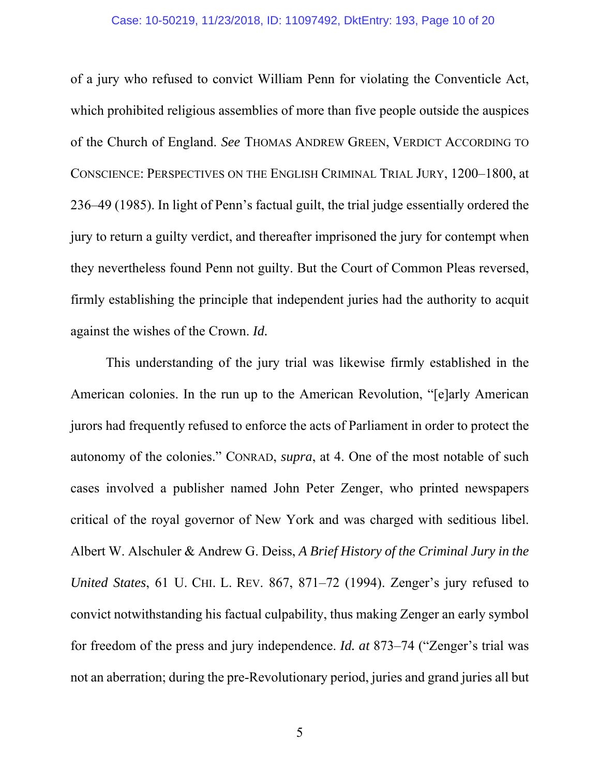of a jury who refused to convict William Penn for violating the Conventicle Act, which prohibited religious assemblies of more than five people outside the auspices of the Church of England. *See* THOMAS ANDREW GREEN, VERDICT ACCORDING TO CONSCIENCE: PERSPECTIVES ON THE ENGLISH CRIMINAL TRIAL JURY, 1200–1800, at 236–49 (1985). In light of Penn's factual guilt, the trial judge essentially ordered the jury to return a guilty verdict, and thereafter imprisoned the jury for contempt when they nevertheless found Penn not guilty. But the Court of Common Pleas reversed, firmly establishing the principle that independent juries had the authority to acquit against the wishes of the Crown. *Id.*

This understanding of the jury trial was likewise firmly established in the American colonies. In the run up to the American Revolution, "[e]arly American jurors had frequently refused to enforce the acts of Parliament in order to protect the autonomy of the colonies." CONRAD, *supra*, at 4. One of the most notable of such cases involved a publisher named John Peter Zenger, who printed newspapers critical of the royal governor of New York and was charged with seditious libel. Albert W. Alschuler & Andrew G. Deiss, *A Brief History of the Criminal Jury in the United States*, 61 U. CHI. L. REV. 867, 871–72 (1994). Zenger's jury refused to convict notwithstanding his factual culpability, thus making Zenger an early symbol for freedom of the press and jury independence. *Id. at* 873–74 ("Zenger's trial was not an aberration; during the pre-Revolutionary period, juries and grand juries all but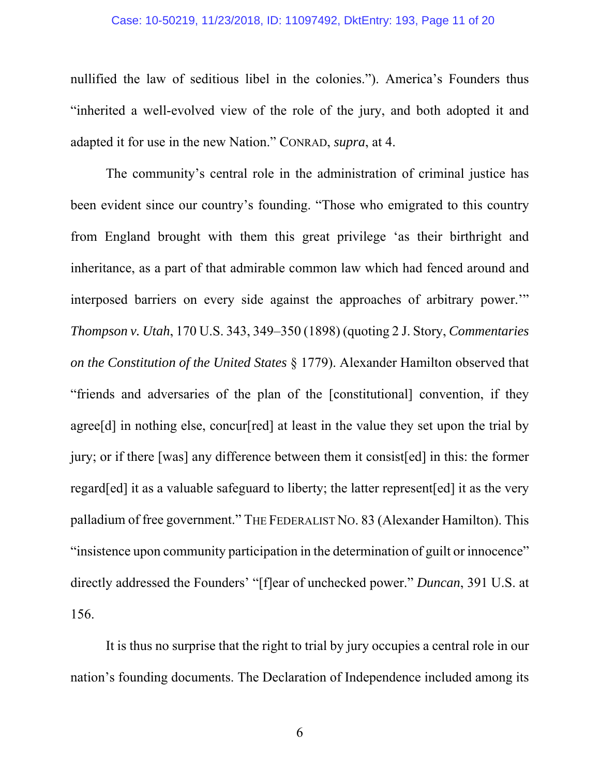#### Case: 10-50219, 11/23/2018, ID: 11097492, DktEntry: 193, Page 11 of 20

nullified the law of seditious libel in the colonies."). America's Founders thus "inherited a well-evolved view of the role of the jury, and both adopted it and adapted it for use in the new Nation." CONRAD, *supra*, at 4.

The community's central role in the administration of criminal justice has been evident since our country's founding. "Those who emigrated to this country from England brought with them this great privilege 'as their birthright and inheritance, as a part of that admirable common law which had fenced around and interposed barriers on every side against the approaches of arbitrary power.'" *Thompson v. Utah*, 170 U.S. 343, 349–350 (1898) (quoting 2 J. Story, *Commentaries on the Constitution of the United States* § 1779). Alexander Hamilton observed that "friends and adversaries of the plan of the [constitutional] convention, if they agree<sup>[d]</sup> in nothing else, concur<sup>[red]</sup> at least in the value they set upon the trial by jury; or if there [was] any difference between them it consist[ed] in this: the former regard[ed] it as a valuable safeguard to liberty; the latter represent[ed] it as the very palladium of free government." THE FEDERALIST NO. 83 (Alexander Hamilton). This "insistence upon community participation in the determination of guilt or innocence" directly addressed the Founders' "[f]ear of unchecked power." *Duncan*, 391 U.S. at 156.

It is thus no surprise that the right to trial by jury occupies a central role in our nation's founding documents. The Declaration of Independence included among its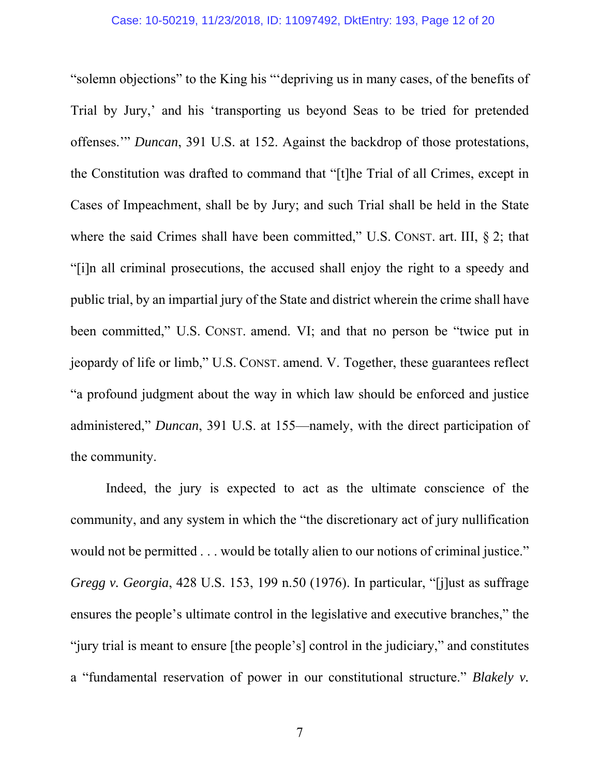"solemn objections" to the King his "'depriving us in many cases, of the benefits of Trial by Jury,' and his 'transporting us beyond Seas to be tried for pretended offenses.'" *Duncan*, 391 U.S. at 152. Against the backdrop of those protestations, the Constitution was drafted to command that "[t]he Trial of all Crimes, except in Cases of Impeachment, shall be by Jury; and such Trial shall be held in the State where the said Crimes shall have been committed," U.S. CONST. art. III,  $\S$  2; that "[i]n all criminal prosecutions, the accused shall enjoy the right to a speedy and public trial, by an impartial jury of the State and district wherein the crime shall have been committed," U.S. CONST. amend. VI; and that no person be "twice put in jeopardy of life or limb," U.S. CONST. amend. V. Together, these guarantees reflect "a profound judgment about the way in which law should be enforced and justice administered," *Duncan*, 391 U.S. at 155—namely, with the direct participation of the community.

Indeed, the jury is expected to act as the ultimate conscience of the community, and any system in which the "the discretionary act of jury nullification would not be permitted . . . would be totally alien to our notions of criminal justice." *Gregg v. Georgia*, 428 U.S. 153, 199 n.50 (1976). In particular, "[j]ust as suffrage ensures the people's ultimate control in the legislative and executive branches," the "jury trial is meant to ensure [the people's] control in the judiciary," and constitutes a "fundamental reservation of power in our constitutional structure." *Blakely v.*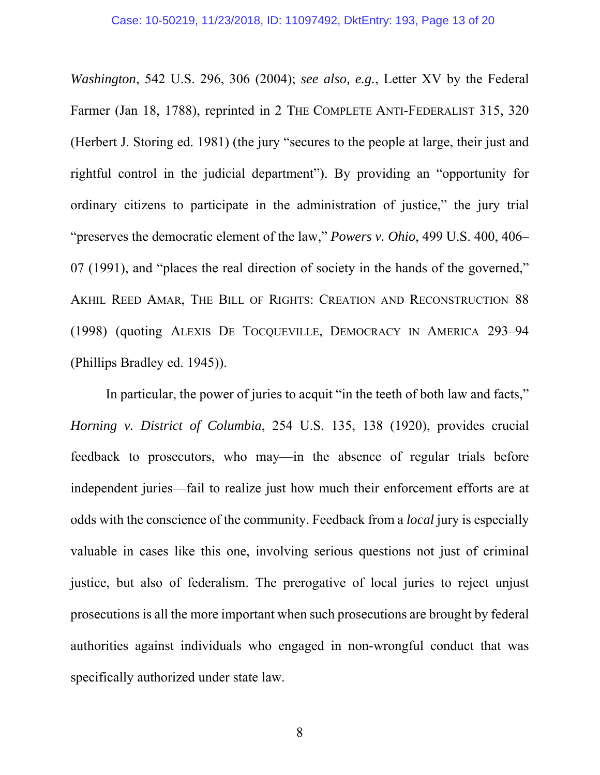*Washington*, 542 U.S. 296, 306 (2004); *see also, e.g.*, Letter XV by the Federal Farmer (Jan 18, 1788), reprinted in 2 THE COMPLETE ANTI-FEDERALIST 315, 320 (Herbert J. Storing ed. 1981) (the jury "secures to the people at large, their just and rightful control in the judicial department"). By providing an "opportunity for ordinary citizens to participate in the administration of justice," the jury trial "preserves the democratic element of the law," *Powers v. Ohio*, 499 U.S. 400, 406– 07 (1991), and "places the real direction of society in the hands of the governed," AKHIL REED AMAR, THE BILL OF RIGHTS: CREATION AND RECONSTRUCTION 88 (1998) (quoting ALEXIS DE TOCQUEVILLE, DEMOCRACY IN AMERICA 293–94 (Phillips Bradley ed. 1945)).

In particular, the power of juries to acquit "in the teeth of both law and facts," *Horning v. District of Columbia*, 254 U.S. 135, 138 (1920), provides crucial feedback to prosecutors, who may—in the absence of regular trials before independent juries—fail to realize just how much their enforcement efforts are at odds with the conscience of the community. Feedback from a *local* jury is especially valuable in cases like this one, involving serious questions not just of criminal justice, but also of federalism. The prerogative of local juries to reject unjust prosecutions is all the more important when such prosecutions are brought by federal authorities against individuals who engaged in non-wrongful conduct that was specifically authorized under state law.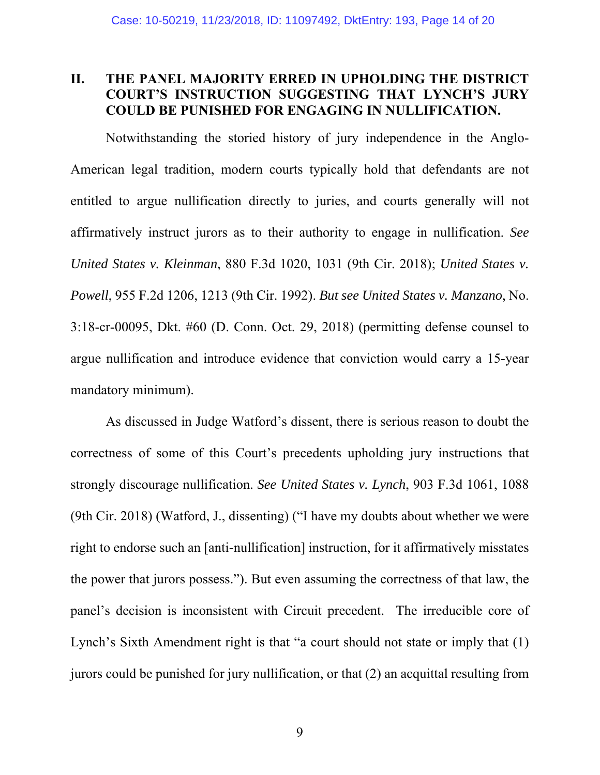## **II. THE PANEL MAJORITY ERRED IN UPHOLDING THE DISTRICT COURT'S INSTRUCTION SUGGESTING THAT LYNCH'S JURY COULD BE PUNISHED FOR ENGAGING IN NULLIFICATION.**

Notwithstanding the storied history of jury independence in the Anglo-American legal tradition, modern courts typically hold that defendants are not entitled to argue nullification directly to juries, and courts generally will not affirmatively instruct jurors as to their authority to engage in nullification. *See United States v. Kleinman*, 880 F.3d 1020, 1031 (9th Cir. 2018); *United States v. Powell*, 955 F.2d 1206, 1213 (9th Cir. 1992). *But see United States v. Manzano*, No. 3:18-cr-00095, Dkt. #60 (D. Conn. Oct. 29, 2018) (permitting defense counsel to argue nullification and introduce evidence that conviction would carry a 15-year mandatory minimum).

As discussed in Judge Watford's dissent, there is serious reason to doubt the correctness of some of this Court's precedents upholding jury instructions that strongly discourage nullification. *See United States v. Lynch*, 903 F.3d 1061, 1088 (9th Cir. 2018) (Watford, J., dissenting) ("I have my doubts about whether we were right to endorse such an [anti-nullification] instruction, for it affirmatively misstates the power that jurors possess."). But even assuming the correctness of that law, the panel's decision is inconsistent with Circuit precedent. The irreducible core of Lynch's Sixth Amendment right is that "a court should not state or imply that (1) jurors could be punished for jury nullification, or that (2) an acquittal resulting from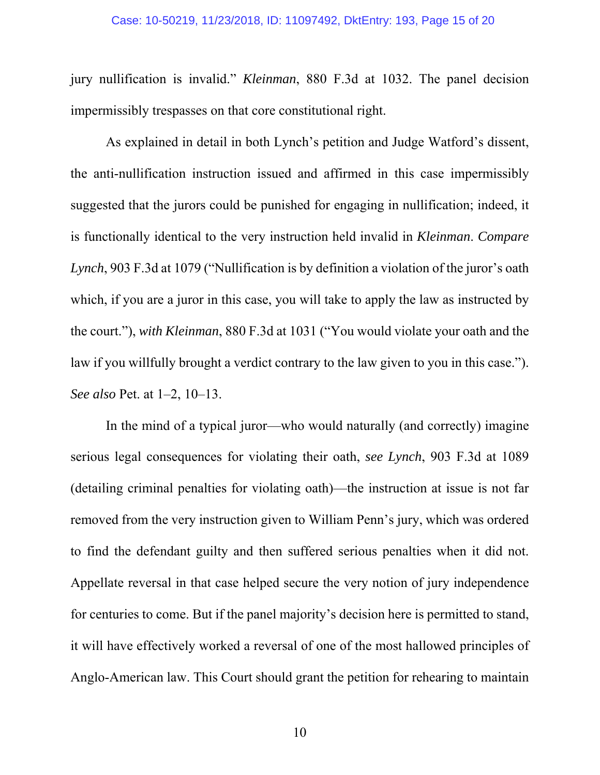jury nullification is invalid." *Kleinman*, 880 F.3d at 1032. The panel decision impermissibly trespasses on that core constitutional right.

As explained in detail in both Lynch's petition and Judge Watford's dissent, the anti-nullification instruction issued and affirmed in this case impermissibly suggested that the jurors could be punished for engaging in nullification; indeed, it is functionally identical to the very instruction held invalid in *Kleinman*. *Compare Lynch*, 903 F.3d at 1079 ("Nullification is by definition a violation of the juror's oath which, if you are a juror in this case, you will take to apply the law as instructed by the court."), *with Kleinman*, 880 F.3d at 1031 ("You would violate your oath and the law if you willfully brought a verdict contrary to the law given to you in this case."). *See also* Pet. at 1–2, 10–13.

In the mind of a typical juror—who would naturally (and correctly) imagine serious legal consequences for violating their oath, *see Lynch*, 903 F.3d at 1089 (detailing criminal penalties for violating oath)—the instruction at issue is not far removed from the very instruction given to William Penn's jury, which was ordered to find the defendant guilty and then suffered serious penalties when it did not. Appellate reversal in that case helped secure the very notion of jury independence for centuries to come. But if the panel majority's decision here is permitted to stand, it will have effectively worked a reversal of one of the most hallowed principles of Anglo-American law. This Court should grant the petition for rehearing to maintain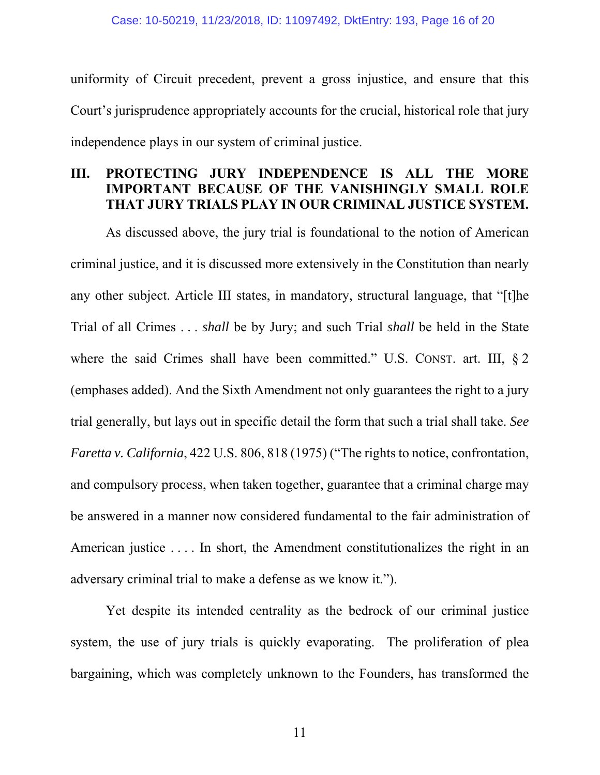uniformity of Circuit precedent, prevent a gross injustice, and ensure that this Court's jurisprudence appropriately accounts for the crucial, historical role that jury independence plays in our system of criminal justice.

## **III. PROTECTING JURY INDEPENDENCE IS ALL THE MORE IMPORTANT BECAUSE OF THE VANISHINGLY SMALL ROLE THAT JURY TRIALS PLAY IN OUR CRIMINAL JUSTICE SYSTEM.**

As discussed above, the jury trial is foundational to the notion of American criminal justice, and it is discussed more extensively in the Constitution than nearly any other subject. Article III states, in mandatory, structural language, that "[t]he Trial of all Crimes . . . *shall* be by Jury; and such Trial *shall* be held in the State where the said Crimes shall have been committed." U.S. CONST. art. III, § 2 (emphases added). And the Sixth Amendment not only guarantees the right to a jury trial generally, but lays out in specific detail the form that such a trial shall take. *See Faretta v. California*, 422 U.S. 806, 818 (1975) ("The rights to notice, confrontation, and compulsory process, when taken together, guarantee that a criminal charge may be answered in a manner now considered fundamental to the fair administration of American justice . . . . In short, the Amendment constitutionalizes the right in an adversary criminal trial to make a defense as we know it.").

Yet despite its intended centrality as the bedrock of our criminal justice system, the use of jury trials is quickly evaporating. The proliferation of plea bargaining, which was completely unknown to the Founders, has transformed the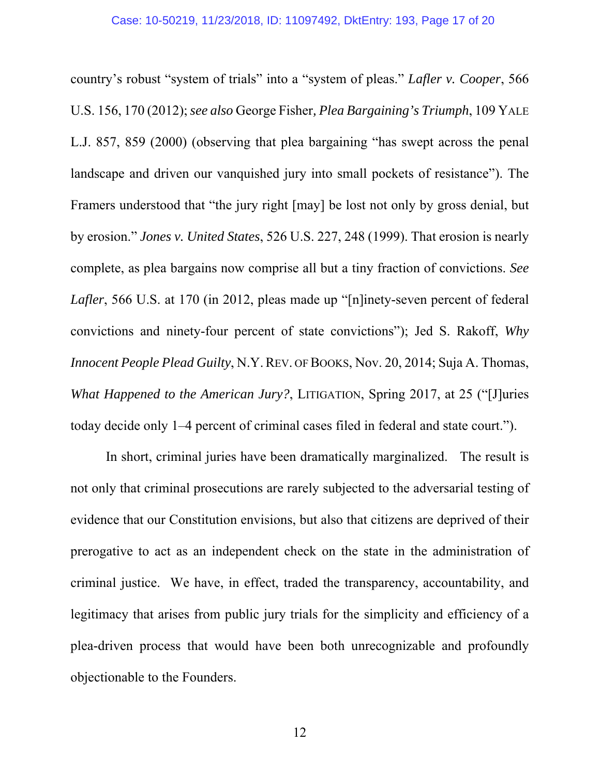country's robust "system of trials" into a "system of pleas." *Lafler v. Cooper*, 566 U.S. 156, 170 (2012); *see also* George Fisher*, Plea Bargaining's Triumph*, 109 YALE L.J. 857, 859 (2000) (observing that plea bargaining "has swept across the penal landscape and driven our vanquished jury into small pockets of resistance"). The Framers understood that "the jury right [may] be lost not only by gross denial, but by erosion." *Jones v. United States*, 526 U.S. 227, 248 (1999). That erosion is nearly complete, as plea bargains now comprise all but a tiny fraction of convictions. *See Lafler*, 566 U.S. at 170 (in 2012, pleas made up "[n]inety-seven percent of federal convictions and ninety-four percent of state convictions"); Jed S. Rakoff, *Why Innocent People Plead Guilty, N.Y. REV. OF BOOKS, Nov. 20, 2014; Suja A. Thomas, What Happened to the American Jury?*, LITIGATION, Spring 2017, at 25 ("[J]uries] today decide only 1–4 percent of criminal cases filed in federal and state court.").

In short, criminal juries have been dramatically marginalized. The result is not only that criminal prosecutions are rarely subjected to the adversarial testing of evidence that our Constitution envisions, but also that citizens are deprived of their prerogative to act as an independent check on the state in the administration of criminal justice. We have, in effect, traded the transparency, accountability, and legitimacy that arises from public jury trials for the simplicity and efficiency of a plea-driven process that would have been both unrecognizable and profoundly objectionable to the Founders.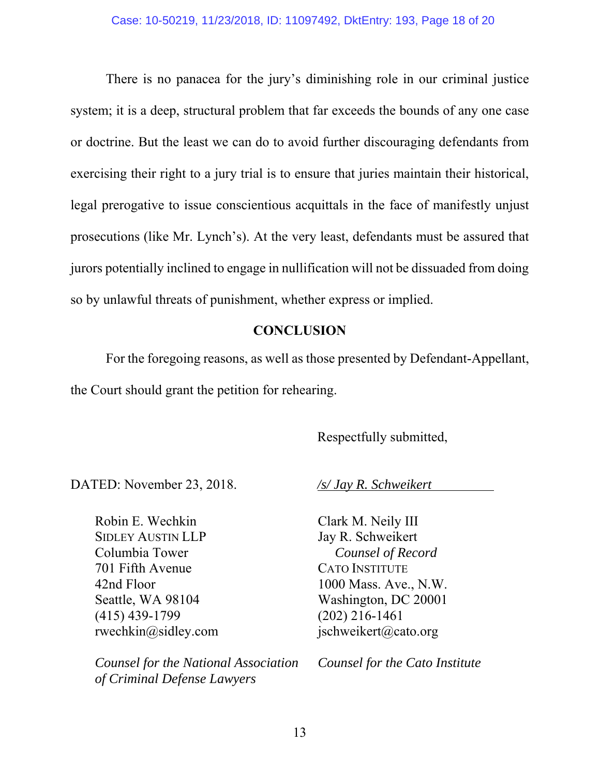There is no panacea for the jury's diminishing role in our criminal justice system; it is a deep, structural problem that far exceeds the bounds of any one case or doctrine. But the least we can do to avoid further discouraging defendants from exercising their right to a jury trial is to ensure that juries maintain their historical, legal prerogative to issue conscientious acquittals in the face of manifestly unjust prosecutions (like Mr. Lynch's). At the very least, defendants must be assured that jurors potentially inclined to engage in nullification will not be dissuaded from doing so by unlawful threats of punishment, whether express or implied.

### **CONCLUSION**

For the foregoing reasons, as well as those presented by Defendant-Appellant, the Court should grant the petition for rehearing.

Respectfully submitted,

DATED: November 23, 2018. */s/ Jay R. Schweikert*

Robin E. Wechkin SIDLEY AUSTIN LLP Columbia Tower 701 Fifth Avenue 42nd Floor Seattle, WA 98104 (415) 439-1799 rwechkin@sidley.com

*Counsel for the National Association of Criminal Defense Lawyers*

Clark M. Neily III Jay R. Schweikert  *Counsel of Record*  CATO INSTITUTE 1000 Mass. Ave., N.W. Washington, DC 20001 (202) 216-1461 jschweikert@cato.org

*Counsel for the Cato Institute*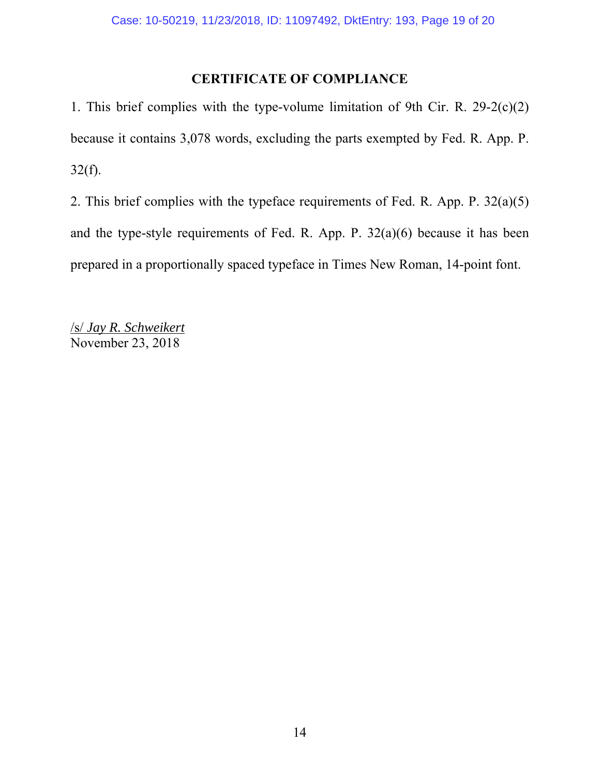## **CERTIFICATE OF COMPLIANCE**

1. This brief complies with the type-volume limitation of 9th Cir. R. 29-2(c)(2) because it contains 3,078 words, excluding the parts exempted by Fed. R. App. P.  $32(f)$ .

2. This brief complies with the typeface requirements of Fed. R. App. P. 32(a)(5) and the type-style requirements of Fed. R. App. P. 32(a)(6) because it has been prepared in a proportionally spaced typeface in Times New Roman, 14-point font.

/s/ *Jay R. Schweikert* November 23, 2018